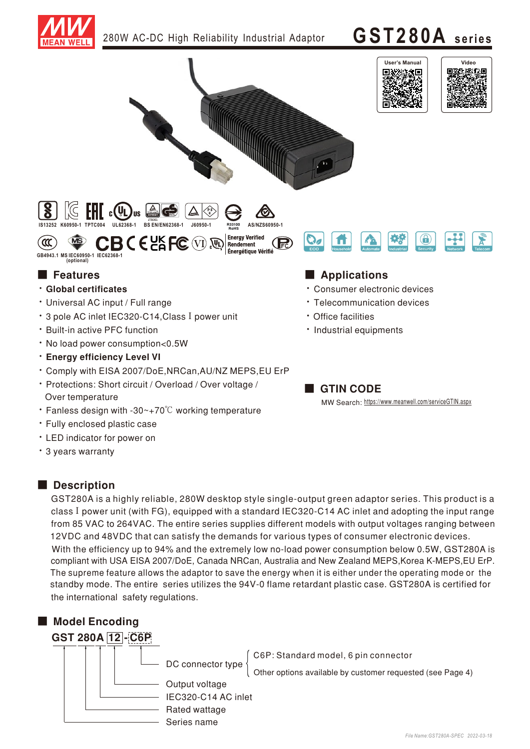

280W AC-DC High Reliability Industrial Adaptor  $\cdot$   $GST280A$  series





Rendement Énergétique Vérifié



## ■ Features ■ Particular and Particular and Particular and Particular and Particular and Particular and Particular and Particular and Particular and Particular and Particular and Particular and Particular and Particular an

ัα

**Clobal certificates** 

**GB4943.1 MS IEC60950-1 IEC62368-1 (optional)**

- Universal AC input / Full range
- 3 pole AC inlet IEC320-C14, Class I power unit
- **· Built-in active PFC function**
- No load power consumption<0.5W
- **· Energy efficiency Level VI**
- Comply with EISA 2007/DoE, NRCan, AU/NZ MEPS, EU ErP
- Protections: Short circuit / Overload / Over voltage / Over temperature
- Fanless design with -30~+70°C working temperature
- · Fully enclosed plastic case
- LED indicator for power on
- 3 years warranty

#### ■ Description

GST280A is a highly reliable, 280W desktop style single-output green adaptor series. This product is a class I power unit (with FG), equipped with a standard IEC320-C14 AC inlet and adopting the input range from 85 VAC to 264VAC. The entire series supplies different models with output voltages ranging between 12VDC and 48VDC that can satisfy the demands for various types of consumer electronic devices. With the efficiency up to 94% and the extremely low no-load power consumption below 0.5W, GST280A is The supreme feature allows the adaptor to save the energy when it is either under the operating mode or the standby mode. The entire series utilizes the 94V-0 flame retardant plastic case. GST280A is certified for the international safety regulations. compliant with USA EISA 2007/DoE, Canada NRCan, Australia and New Zealand MEPS, Korea K-MEPS, EU ErP.



■ GTIN CODE

· Industrial equipments

• Office facilities

**Consumer electronic devices** • Telecommunication devices

MW Search: https://www.meanwell.com/serviceGTIN.aspx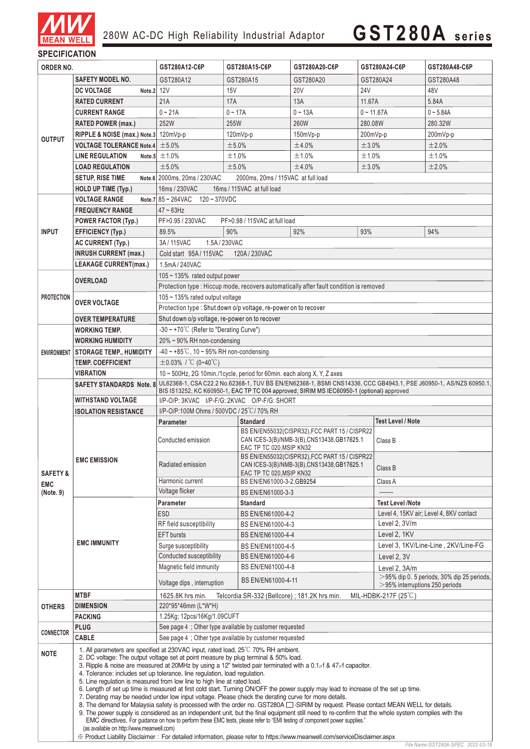

# **GST280A seri es**

### **SPECIFICATION**

| GST280A12<br>GST280A20<br>GST280A48<br>SAFETY MODEL NO.<br>GST280A15<br>GST280A24<br><b>20V</b><br><b>24V</b><br><b>DC VOLTAGE</b><br>Note.2 12V<br>15V<br>48V<br>21A<br><b>17A</b><br>13A<br>5.84A<br><b>RATED CURRENT</b><br>11.67A<br>$0 - 21A$<br>$0 - 13A$<br>$0 - 11.67A$<br>$0 - 5.84A$<br><b>CURRENT RANGE</b><br>$0 - 17A$<br>252W<br>255W<br>260W<br>280.08W<br>280.32W<br><b>RATED POWER (max.)</b><br>RIPPLE & NOISE (max.) Note.3 120mVp-p<br>$120mVp-p$<br>$150mVp-p$<br>$200mVp-p$<br>$200mVp-p$<br><b>OUTPUT</b><br><b>VOLTAGE TOLERANCE Note.4</b><br>±5.0%<br>±5.0%<br>±4.0%<br>±3.0%<br>±2.0%<br><b>LINE REGULATION</b><br>Note.5 $\pm$ 1.0%<br>±1.0%<br>±1.0%<br>±1.0%<br>±1.0%<br>±5.0%<br>±5.0%<br>±3.0%<br>±2.0%<br><b>LOAD REGULATION</b><br>±4.0%<br><b>SETUP, RISE TIME</b><br>Note.6 2000ms, 20ms / 230VAC<br>2000ms, 20ms / 115VAC at full load<br>16ms / 230VAC<br>16ms / 115VAC at full load<br>HOLD UP TIME (Typ.)<br><b>VOLTAGE RANGE</b><br>Note.7 $85 - 264$ VAC $120 - 370$ VDC<br>$47 - 63$ Hz<br><b>FREQUENCY RANGE</b><br><b>POWER FACTOR (Typ.)</b><br>PF>0.95 / 230VAC<br>PF>0.98 / 115VAC at full load<br><b>INPUT</b><br>89.5%<br>90%<br><b>EFFICIENCY (Typ.)</b><br>92%<br>93%<br>94%<br>3A/115VAC<br><b>AC CURRENT (Typ.)</b><br>1.5A/230VAC<br><b>INRUSH CURRENT (max.)</b><br>Cold start 95A/115VAC<br>120A/230VAC<br><b>LEAKAGE CURRENT(max.)</b><br>1.5mA/240VAC<br>$105 \sim 135\%$ rated output power<br><b>OVERLOAD</b><br>Protection type: Hiccup mode, recovers automatically after fault condition is removed<br><b>PROTECTION</b><br>105 $\sim$ 135% rated output voltage<br><b>OVER VOLTAGE</b><br>Protection type : Shut down o/p voltage, re-power on to recover<br>Shut down o/p voltage, re-power on to recover<br><b>OVER TEMPERATURE</b><br>$-30 \sim +70^{\circ}$ C (Refer to "Derating Curve")<br><b>WORKING TEMP.</b><br>20% ~ 90% RH non-condensing<br><b>WORKING HUMIDITY</b><br>$-40 \sim +85^{\circ}$ C, 10 ~ 95% RH non-condensing<br>ENVIRONMENT STORAGE TEMP., HUMIDITY<br>$\pm$ 0.03% / °C (0~40°C)<br><b>TEMP. COEFFICIENT</b><br>10 ~ 500Hz, 2G 10min./1cycle, period for 60min. each along X, Y, Z axes<br><b>VIBRATION</b><br><b>SAFETY STANDARDS Note. 8</b><br>BIS IS13252, KC K60950-1, EAC TP TC 004 approved; SIRIM MS IEC60950-1 (optional) approved<br><b>WITHSTAND VOLTAGE</b><br>I/P-O/P: 3KVAC I/P-F/G: 2KVAC O/P-F/G: SHORT<br>I/P-O/P:100M Ohms / 500VDC / 25°C/70% RH<br><b>ISOLATION RESISTANCE</b><br><b>Standard</b><br><b>Test Level / Note</b><br>Parameter<br>BS EN/EN55032(CISPR32), FCC PART 15 / CISPR22<br>Conducted emission<br>CAN ICES-3(B)/NMB-3(B),CNS13438,GB17625.1<br>Class B<br>EAC TP TC 020, MSIP KN32<br>BS EN/EN55032(CISPR32), FCC PART 15 / CISPR22<br><b>EMC EMISSION</b><br>Radiated emission<br>CAN ICES-3(B)/NMB-3(B),CNS13438,GB17625.1<br>Class B<br>EAC TP TC 020, MSIP KN32<br><b>SAFETY &amp;</b><br>Harmonic current<br>BS EN/EN61000-3-2, GB9254<br>Class A<br><b>EMC</b><br>Voltage flicker<br>(Note. 9)<br>BS EN/EN61000-3-3<br>-------<br><b>Test Level /Note</b><br><b>Parameter</b><br><b>Standard</b><br><b>ESD</b><br>Level 4, 15KV air; Level 4, 8KV contact<br>BS EN/EN61000-4-2<br>RF field susceptibility<br>Level 2, 3V/m<br>BS EN/EN61000-4-3<br>Level 2, 1KV<br><b>EFT</b> bursts<br>BS EN/EN61000-4-4<br><b>EMC IMMUNITY</b><br>Level 3, 1KV/Line-Line, 2KV/Line-FG<br>Surge susceptibility<br>BS EN/EN61000-4-5<br>Conducted susceptibility<br>BS EN/EN61000-4-6<br>Level 2, 3V<br>Magnetic field immunity<br>BS EN/EN61000-4-8<br>Level 2, 3A/m<br>BS EN/EN61000-4-11<br>Voltage dips, interruption<br>$>$ 95% interruptions 250 periods<br><b>MTBF</b><br>MIL-HDBK-217F $(25^{\circ}C)$<br>Telcordia SR-332 (Bellcore); 181.2K hrs min.<br>1625.8K hrs min.<br><b>DIMENSION</b><br>220*95*46mm (L*W*H)<br><b>OTHERS</b><br>1.25Kg; 12pcs/16Kg/1.09CUFT<br><b>PACKING</b><br>See page 4 ; Other type available by customer requested<br><b>PLUG</b><br><b>CONNECTOR</b><br><b>CABLE</b><br>See page 4; Other type available by customer requested<br>1. All parameters are specified at 230VAC input, rated load, 25 <sup>°</sup> C 70% RH ambient.<br><b>NOTE</b><br>2. DC voltage: The output voltage set at point measure by plug terminal & 50% load.<br>3. Ripple & noise are measured at 20MHz by using a 12" twisted pair terminated with a 0.1 $\mu$ f & 47 $\mu$ f capacitor.<br>4. Tolerance: includes set up tolerance, line regulation, load regulation.<br>5. Line regulation is measured from low line to high line at rated load.<br>6. Length of set up time is measured at first cold start. Turning ON/OFF the power supply may lead to increase of the set up time.<br>7. Derating may be needed under low input voltage. Please check the derating curve for more details.<br>8. The demand for Malaysia safety is processed with the order no. GST280A $\Box$ -SIRIM by request. Please contact MEAN WELL for details.<br>9. The power supply is considered as an independent unit, but the final equipment still need to re-confirm that the whole system complies with the<br>EMC directives. For guidance on how to perform these EMC tests, please refer to "EMI testing of component power supplies."<br>(as available on http://www.meanwell.com)<br>X Product Liability Disclaimer: For detailed information, please refer to https://www.meanwell.com/serviceDisclaimer.aspx | ORDER NO. |  | GST280A12-C6P | GST280A15-C6P | GST280A20-C6P | GST280A24-C6P | GST280A48-C6P |  |  |
|----------------------------------------------------------------------------------------------------------------------------------------------------------------------------------------------------------------------------------------------------------------------------------------------------------------------------------------------------------------------------------------------------------------------------------------------------------------------------------------------------------------------------------------------------------------------------------------------------------------------------------------------------------------------------------------------------------------------------------------------------------------------------------------------------------------------------------------------------------------------------------------------------------------------------------------------------------------------------------------------------------------------------------------------------------------------------------------------------------------------------------------------------------------------------------------------------------------------------------------------------------------------------------------------------------------------------------------------------------------------------------------------------------------------------------------------------------------------------------------------------------------------------------------------------------------------------------------------------------------------------------------------------------------------------------------------------------------------------------------------------------------------------------------------------------------------------------------------------------------------------------------------------------------------------------------------------------------------------------------------------------------------------------------------------------------------------------------------------------------------------------------------------------------------------------------------------------------------------------------------------------------------------------------------------------------------------------------------------------------------------------------------------------------------------------------------------------------------------------------------------------------------------------------------------------------------------------------------------------------------------------------------------------------------------------------------------------------------------------------------------------------------------------------------------------------------------------------------------------------------------------------------------------------------------------------------------------------------------------------------------------------------------------------------------------------------------------------------------------------------------------------------------------------------------------------------------------------------------------------------------------------------------------------------------------------------------------------------------------------------------------------------------------------------------------------------------------------------------------------------------------------------------------------------------------------------------------------------------------------------------------------------------------------------------------------------------------------------------------------------------------------------------------------------------------------------------------------------------------------------------------------------------------------------------------------------------------------------------------------------------------------------------------------------------------------------------------------------------------------------------------------------------------------------------------------------------------------------------------------------------------------------------------------------------------------------------------------------------------------------------------------------------------------------------------------------------------------------------------------------------------------------------------------------------------------------------------------------------------------------------------------------------------------------------------------------------------------------------------------------------------------------------------------------------------------------------------------------------------------------------------------------------------------------------------------------------------------------------------------------------------------------------------------------------------------------------------------------------------------------------------------------------------------------------------------------------------------------------------------------------------------------------------------------------------------------------------------------------------------------------------------------------------------------------------------------------------|-----------|--|---------------|---------------|---------------|---------------|---------------|--|--|
|                                                                                                                                                                                                                                                                                                                                                                                                                                                                                                                                                                                                                                                                                                                                                                                                                                                                                                                                                                                                                                                                                                                                                                                                                                                                                                                                                                                                                                                                                                                                                                                                                                                                                                                                                                                                                                                                                                                                                                                                                                                                                                                                                                                                                                                                                                                                                                                                                                                                                                                                                                                                                                                                                                                                                                                                                                                                                                                                                                                                                                                                                                                                                                                                                                                                                                                                                                                                                                                                                                                                                                                                                                                                                                                                                                                                                                                                                                                                                                                                                                                                                                                                                                                                                                                                                                                                                                                                                                                                                                                                                                                                                                                                                                                                                                                                                                                                                                                                                                                                                                                                                                                                                                                                                                                                                                                                                                                                                                                          |           |  |               |               |               |               |               |  |  |
|                                                                                                                                                                                                                                                                                                                                                                                                                                                                                                                                                                                                                                                                                                                                                                                                                                                                                                                                                                                                                                                                                                                                                                                                                                                                                                                                                                                                                                                                                                                                                                                                                                                                                                                                                                                                                                                                                                                                                                                                                                                                                                                                                                                                                                                                                                                                                                                                                                                                                                                                                                                                                                                                                                                                                                                                                                                                                                                                                                                                                                                                                                                                                                                                                                                                                                                                                                                                                                                                                                                                                                                                                                                                                                                                                                                                                                                                                                                                                                                                                                                                                                                                                                                                                                                                                                                                                                                                                                                                                                                                                                                                                                                                                                                                                                                                                                                                                                                                                                                                                                                                                                                                                                                                                                                                                                                                                                                                                                                          |           |  |               |               |               |               |               |  |  |
|                                                                                                                                                                                                                                                                                                                                                                                                                                                                                                                                                                                                                                                                                                                                                                                                                                                                                                                                                                                                                                                                                                                                                                                                                                                                                                                                                                                                                                                                                                                                                                                                                                                                                                                                                                                                                                                                                                                                                                                                                                                                                                                                                                                                                                                                                                                                                                                                                                                                                                                                                                                                                                                                                                                                                                                                                                                                                                                                                                                                                                                                                                                                                                                                                                                                                                                                                                                                                                                                                                                                                                                                                                                                                                                                                                                                                                                                                                                                                                                                                                                                                                                                                                                                                                                                                                                                                                                                                                                                                                                                                                                                                                                                                                                                                                                                                                                                                                                                                                                                                                                                                                                                                                                                                                                                                                                                                                                                                                                          |           |  |               |               |               |               |               |  |  |
|                                                                                                                                                                                                                                                                                                                                                                                                                                                                                                                                                                                                                                                                                                                                                                                                                                                                                                                                                                                                                                                                                                                                                                                                                                                                                                                                                                                                                                                                                                                                                                                                                                                                                                                                                                                                                                                                                                                                                                                                                                                                                                                                                                                                                                                                                                                                                                                                                                                                                                                                                                                                                                                                                                                                                                                                                                                                                                                                                                                                                                                                                                                                                                                                                                                                                                                                                                                                                                                                                                                                                                                                                                                                                                                                                                                                                                                                                                                                                                                                                                                                                                                                                                                                                                                                                                                                                                                                                                                                                                                                                                                                                                                                                                                                                                                                                                                                                                                                                                                                                                                                                                                                                                                                                                                                                                                                                                                                                                                          |           |  |               |               |               |               |               |  |  |
|                                                                                                                                                                                                                                                                                                                                                                                                                                                                                                                                                                                                                                                                                                                                                                                                                                                                                                                                                                                                                                                                                                                                                                                                                                                                                                                                                                                                                                                                                                                                                                                                                                                                                                                                                                                                                                                                                                                                                                                                                                                                                                                                                                                                                                                                                                                                                                                                                                                                                                                                                                                                                                                                                                                                                                                                                                                                                                                                                                                                                                                                                                                                                                                                                                                                                                                                                                                                                                                                                                                                                                                                                                                                                                                                                                                                                                                                                                                                                                                                                                                                                                                                                                                                                                                                                                                                                                                                                                                                                                                                                                                                                                                                                                                                                                                                                                                                                                                                                                                                                                                                                                                                                                                                                                                                                                                                                                                                                                                          |           |  |               |               |               |               |               |  |  |
|                                                                                                                                                                                                                                                                                                                                                                                                                                                                                                                                                                                                                                                                                                                                                                                                                                                                                                                                                                                                                                                                                                                                                                                                                                                                                                                                                                                                                                                                                                                                                                                                                                                                                                                                                                                                                                                                                                                                                                                                                                                                                                                                                                                                                                                                                                                                                                                                                                                                                                                                                                                                                                                                                                                                                                                                                                                                                                                                                                                                                                                                                                                                                                                                                                                                                                                                                                                                                                                                                                                                                                                                                                                                                                                                                                                                                                                                                                                                                                                                                                                                                                                                                                                                                                                                                                                                                                                                                                                                                                                                                                                                                                                                                                                                                                                                                                                                                                                                                                                                                                                                                                                                                                                                                                                                                                                                                                                                                                                          |           |  |               |               |               |               |               |  |  |
|                                                                                                                                                                                                                                                                                                                                                                                                                                                                                                                                                                                                                                                                                                                                                                                                                                                                                                                                                                                                                                                                                                                                                                                                                                                                                                                                                                                                                                                                                                                                                                                                                                                                                                                                                                                                                                                                                                                                                                                                                                                                                                                                                                                                                                                                                                                                                                                                                                                                                                                                                                                                                                                                                                                                                                                                                                                                                                                                                                                                                                                                                                                                                                                                                                                                                                                                                                                                                                                                                                                                                                                                                                                                                                                                                                                                                                                                                                                                                                                                                                                                                                                                                                                                                                                                                                                                                                                                                                                                                                                                                                                                                                                                                                                                                                                                                                                                                                                                                                                                                                                                                                                                                                                                                                                                                                                                                                                                                                                          |           |  |               |               |               |               |               |  |  |
|                                                                                                                                                                                                                                                                                                                                                                                                                                                                                                                                                                                                                                                                                                                                                                                                                                                                                                                                                                                                                                                                                                                                                                                                                                                                                                                                                                                                                                                                                                                                                                                                                                                                                                                                                                                                                                                                                                                                                                                                                                                                                                                                                                                                                                                                                                                                                                                                                                                                                                                                                                                                                                                                                                                                                                                                                                                                                                                                                                                                                                                                                                                                                                                                                                                                                                                                                                                                                                                                                                                                                                                                                                                                                                                                                                                                                                                                                                                                                                                                                                                                                                                                                                                                                                                                                                                                                                                                                                                                                                                                                                                                                                                                                                                                                                                                                                                                                                                                                                                                                                                                                                                                                                                                                                                                                                                                                                                                                                                          |           |  |               |               |               |               |               |  |  |
|                                                                                                                                                                                                                                                                                                                                                                                                                                                                                                                                                                                                                                                                                                                                                                                                                                                                                                                                                                                                                                                                                                                                                                                                                                                                                                                                                                                                                                                                                                                                                                                                                                                                                                                                                                                                                                                                                                                                                                                                                                                                                                                                                                                                                                                                                                                                                                                                                                                                                                                                                                                                                                                                                                                                                                                                                                                                                                                                                                                                                                                                                                                                                                                                                                                                                                                                                                                                                                                                                                                                                                                                                                                                                                                                                                                                                                                                                                                                                                                                                                                                                                                                                                                                                                                                                                                                                                                                                                                                                                                                                                                                                                                                                                                                                                                                                                                                                                                                                                                                                                                                                                                                                                                                                                                                                                                                                                                                                                                          |           |  |               |               |               |               |               |  |  |
|                                                                                                                                                                                                                                                                                                                                                                                                                                                                                                                                                                                                                                                                                                                                                                                                                                                                                                                                                                                                                                                                                                                                                                                                                                                                                                                                                                                                                                                                                                                                                                                                                                                                                                                                                                                                                                                                                                                                                                                                                                                                                                                                                                                                                                                                                                                                                                                                                                                                                                                                                                                                                                                                                                                                                                                                                                                                                                                                                                                                                                                                                                                                                                                                                                                                                                                                                                                                                                                                                                                                                                                                                                                                                                                                                                                                                                                                                                                                                                                                                                                                                                                                                                                                                                                                                                                                                                                                                                                                                                                                                                                                                                                                                                                                                                                                                                                                                                                                                                                                                                                                                                                                                                                                                                                                                                                                                                                                                                                          |           |  |               |               |               |               |               |  |  |
|                                                                                                                                                                                                                                                                                                                                                                                                                                                                                                                                                                                                                                                                                                                                                                                                                                                                                                                                                                                                                                                                                                                                                                                                                                                                                                                                                                                                                                                                                                                                                                                                                                                                                                                                                                                                                                                                                                                                                                                                                                                                                                                                                                                                                                                                                                                                                                                                                                                                                                                                                                                                                                                                                                                                                                                                                                                                                                                                                                                                                                                                                                                                                                                                                                                                                                                                                                                                                                                                                                                                                                                                                                                                                                                                                                                                                                                                                                                                                                                                                                                                                                                                                                                                                                                                                                                                                                                                                                                                                                                                                                                                                                                                                                                                                                                                                                                                                                                                                                                                                                                                                                                                                                                                                                                                                                                                                                                                                                                          |           |  |               |               |               |               |               |  |  |
|                                                                                                                                                                                                                                                                                                                                                                                                                                                                                                                                                                                                                                                                                                                                                                                                                                                                                                                                                                                                                                                                                                                                                                                                                                                                                                                                                                                                                                                                                                                                                                                                                                                                                                                                                                                                                                                                                                                                                                                                                                                                                                                                                                                                                                                                                                                                                                                                                                                                                                                                                                                                                                                                                                                                                                                                                                                                                                                                                                                                                                                                                                                                                                                                                                                                                                                                                                                                                                                                                                                                                                                                                                                                                                                                                                                                                                                                                                                                                                                                                                                                                                                                                                                                                                                                                                                                                                                                                                                                                                                                                                                                                                                                                                                                                                                                                                                                                                                                                                                                                                                                                                                                                                                                                                                                                                                                                                                                                                                          |           |  |               |               |               |               |               |  |  |
|                                                                                                                                                                                                                                                                                                                                                                                                                                                                                                                                                                                                                                                                                                                                                                                                                                                                                                                                                                                                                                                                                                                                                                                                                                                                                                                                                                                                                                                                                                                                                                                                                                                                                                                                                                                                                                                                                                                                                                                                                                                                                                                                                                                                                                                                                                                                                                                                                                                                                                                                                                                                                                                                                                                                                                                                                                                                                                                                                                                                                                                                                                                                                                                                                                                                                                                                                                                                                                                                                                                                                                                                                                                                                                                                                                                                                                                                                                                                                                                                                                                                                                                                                                                                                                                                                                                                                                                                                                                                                                                                                                                                                                                                                                                                                                                                                                                                                                                                                                                                                                                                                                                                                                                                                                                                                                                                                                                                                                                          |           |  |               |               |               |               |               |  |  |
|                                                                                                                                                                                                                                                                                                                                                                                                                                                                                                                                                                                                                                                                                                                                                                                                                                                                                                                                                                                                                                                                                                                                                                                                                                                                                                                                                                                                                                                                                                                                                                                                                                                                                                                                                                                                                                                                                                                                                                                                                                                                                                                                                                                                                                                                                                                                                                                                                                                                                                                                                                                                                                                                                                                                                                                                                                                                                                                                                                                                                                                                                                                                                                                                                                                                                                                                                                                                                                                                                                                                                                                                                                                                                                                                                                                                                                                                                                                                                                                                                                                                                                                                                                                                                                                                                                                                                                                                                                                                                                                                                                                                                                                                                                                                                                                                                                                                                                                                                                                                                                                                                                                                                                                                                                                                                                                                                                                                                                                          |           |  |               |               |               |               |               |  |  |
|                                                                                                                                                                                                                                                                                                                                                                                                                                                                                                                                                                                                                                                                                                                                                                                                                                                                                                                                                                                                                                                                                                                                                                                                                                                                                                                                                                                                                                                                                                                                                                                                                                                                                                                                                                                                                                                                                                                                                                                                                                                                                                                                                                                                                                                                                                                                                                                                                                                                                                                                                                                                                                                                                                                                                                                                                                                                                                                                                                                                                                                                                                                                                                                                                                                                                                                                                                                                                                                                                                                                                                                                                                                                                                                                                                                                                                                                                                                                                                                                                                                                                                                                                                                                                                                                                                                                                                                                                                                                                                                                                                                                                                                                                                                                                                                                                                                                                                                                                                                                                                                                                                                                                                                                                                                                                                                                                                                                                                                          |           |  |               |               |               |               |               |  |  |
|                                                                                                                                                                                                                                                                                                                                                                                                                                                                                                                                                                                                                                                                                                                                                                                                                                                                                                                                                                                                                                                                                                                                                                                                                                                                                                                                                                                                                                                                                                                                                                                                                                                                                                                                                                                                                                                                                                                                                                                                                                                                                                                                                                                                                                                                                                                                                                                                                                                                                                                                                                                                                                                                                                                                                                                                                                                                                                                                                                                                                                                                                                                                                                                                                                                                                                                                                                                                                                                                                                                                                                                                                                                                                                                                                                                                                                                                                                                                                                                                                                                                                                                                                                                                                                                                                                                                                                                                                                                                                                                                                                                                                                                                                                                                                                                                                                                                                                                                                                                                                                                                                                                                                                                                                                                                                                                                                                                                                                                          |           |  |               |               |               |               |               |  |  |
|                                                                                                                                                                                                                                                                                                                                                                                                                                                                                                                                                                                                                                                                                                                                                                                                                                                                                                                                                                                                                                                                                                                                                                                                                                                                                                                                                                                                                                                                                                                                                                                                                                                                                                                                                                                                                                                                                                                                                                                                                                                                                                                                                                                                                                                                                                                                                                                                                                                                                                                                                                                                                                                                                                                                                                                                                                                                                                                                                                                                                                                                                                                                                                                                                                                                                                                                                                                                                                                                                                                                                                                                                                                                                                                                                                                                                                                                                                                                                                                                                                                                                                                                                                                                                                                                                                                                                                                                                                                                                                                                                                                                                                                                                                                                                                                                                                                                                                                                                                                                                                                                                                                                                                                                                                                                                                                                                                                                                                                          |           |  |               |               |               |               |               |  |  |
|                                                                                                                                                                                                                                                                                                                                                                                                                                                                                                                                                                                                                                                                                                                                                                                                                                                                                                                                                                                                                                                                                                                                                                                                                                                                                                                                                                                                                                                                                                                                                                                                                                                                                                                                                                                                                                                                                                                                                                                                                                                                                                                                                                                                                                                                                                                                                                                                                                                                                                                                                                                                                                                                                                                                                                                                                                                                                                                                                                                                                                                                                                                                                                                                                                                                                                                                                                                                                                                                                                                                                                                                                                                                                                                                                                                                                                                                                                                                                                                                                                                                                                                                                                                                                                                                                                                                                                                                                                                                                                                                                                                                                                                                                                                                                                                                                                                                                                                                                                                                                                                                                                                                                                                                                                                                                                                                                                                                                                                          |           |  |               |               |               |               |               |  |  |
|                                                                                                                                                                                                                                                                                                                                                                                                                                                                                                                                                                                                                                                                                                                                                                                                                                                                                                                                                                                                                                                                                                                                                                                                                                                                                                                                                                                                                                                                                                                                                                                                                                                                                                                                                                                                                                                                                                                                                                                                                                                                                                                                                                                                                                                                                                                                                                                                                                                                                                                                                                                                                                                                                                                                                                                                                                                                                                                                                                                                                                                                                                                                                                                                                                                                                                                                                                                                                                                                                                                                                                                                                                                                                                                                                                                                                                                                                                                                                                                                                                                                                                                                                                                                                                                                                                                                                                                                                                                                                                                                                                                                                                                                                                                                                                                                                                                                                                                                                                                                                                                                                                                                                                                                                                                                                                                                                                                                                                                          |           |  |               |               |               |               |               |  |  |
|                                                                                                                                                                                                                                                                                                                                                                                                                                                                                                                                                                                                                                                                                                                                                                                                                                                                                                                                                                                                                                                                                                                                                                                                                                                                                                                                                                                                                                                                                                                                                                                                                                                                                                                                                                                                                                                                                                                                                                                                                                                                                                                                                                                                                                                                                                                                                                                                                                                                                                                                                                                                                                                                                                                                                                                                                                                                                                                                                                                                                                                                                                                                                                                                                                                                                                                                                                                                                                                                                                                                                                                                                                                                                                                                                                                                                                                                                                                                                                                                                                                                                                                                                                                                                                                                                                                                                                                                                                                                                                                                                                                                                                                                                                                                                                                                                                                                                                                                                                                                                                                                                                                                                                                                                                                                                                                                                                                                                                                          |           |  |               |               |               |               |               |  |  |
|                                                                                                                                                                                                                                                                                                                                                                                                                                                                                                                                                                                                                                                                                                                                                                                                                                                                                                                                                                                                                                                                                                                                                                                                                                                                                                                                                                                                                                                                                                                                                                                                                                                                                                                                                                                                                                                                                                                                                                                                                                                                                                                                                                                                                                                                                                                                                                                                                                                                                                                                                                                                                                                                                                                                                                                                                                                                                                                                                                                                                                                                                                                                                                                                                                                                                                                                                                                                                                                                                                                                                                                                                                                                                                                                                                                                                                                                                                                                                                                                                                                                                                                                                                                                                                                                                                                                                                                                                                                                                                                                                                                                                                                                                                                                                                                                                                                                                                                                                                                                                                                                                                                                                                                                                                                                                                                                                                                                                                                          |           |  |               |               |               |               |               |  |  |
| $>$ 95% dip 0. 5 periods, 30% dip 25 periods,                                                                                                                                                                                                                                                                                                                                                                                                                                                                                                                                                                                                                                                                                                                                                                                                                                                                                                                                                                                                                                                                                                                                                                                                                                                                                                                                                                                                                                                                                                                                                                                                                                                                                                                                                                                                                                                                                                                                                                                                                                                                                                                                                                                                                                                                                                                                                                                                                                                                                                                                                                                                                                                                                                                                                                                                                                                                                                                                                                                                                                                                                                                                                                                                                                                                                                                                                                                                                                                                                                                                                                                                                                                                                                                                                                                                                                                                                                                                                                                                                                                                                                                                                                                                                                                                                                                                                                                                                                                                                                                                                                                                                                                                                                                                                                                                                                                                                                                                                                                                                                                                                                                                                                                                                                                                                                                                                                                                            |           |  |               |               |               |               |               |  |  |
|                                                                                                                                                                                                                                                                                                                                                                                                                                                                                                                                                                                                                                                                                                                                                                                                                                                                                                                                                                                                                                                                                                                                                                                                                                                                                                                                                                                                                                                                                                                                                                                                                                                                                                                                                                                                                                                                                                                                                                                                                                                                                                                                                                                                                                                                                                                                                                                                                                                                                                                                                                                                                                                                                                                                                                                                                                                                                                                                                                                                                                                                                                                                                                                                                                                                                                                                                                                                                                                                                                                                                                                                                                                                                                                                                                                                                                                                                                                                                                                                                                                                                                                                                                                                                                                                                                                                                                                                                                                                                                                                                                                                                                                                                                                                                                                                                                                                                                                                                                                                                                                                                                                                                                                                                                                                                                                                                                                                                                                          |           |  |               |               |               |               |               |  |  |
| UL62368-1, CSA C22.2 No.62368-1, TUV BS EN/EN62368-1, BSMI CNS14336, CCC GB4943.1, PSE J60950-1, AS/NZS 60950.1,                                                                                                                                                                                                                                                                                                                                                                                                                                                                                                                                                                                                                                                                                                                                                                                                                                                                                                                                                                                                                                                                                                                                                                                                                                                                                                                                                                                                                                                                                                                                                                                                                                                                                                                                                                                                                                                                                                                                                                                                                                                                                                                                                                                                                                                                                                                                                                                                                                                                                                                                                                                                                                                                                                                                                                                                                                                                                                                                                                                                                                                                                                                                                                                                                                                                                                                                                                                                                                                                                                                                                                                                                                                                                                                                                                                                                                                                                                                                                                                                                                                                                                                                                                                                                                                                                                                                                                                                                                                                                                                                                                                                                                                                                                                                                                                                                                                                                                                                                                                                                                                                                                                                                                                                                                                                                                                                         |           |  |               |               |               |               |               |  |  |
|                                                                                                                                                                                                                                                                                                                                                                                                                                                                                                                                                                                                                                                                                                                                                                                                                                                                                                                                                                                                                                                                                                                                                                                                                                                                                                                                                                                                                                                                                                                                                                                                                                                                                                                                                                                                                                                                                                                                                                                                                                                                                                                                                                                                                                                                                                                                                                                                                                                                                                                                                                                                                                                                                                                                                                                                                                                                                                                                                                                                                                                                                                                                                                                                                                                                                                                                                                                                                                                                                                                                                                                                                                                                                                                                                                                                                                                                                                                                                                                                                                                                                                                                                                                                                                                                                                                                                                                                                                                                                                                                                                                                                                                                                                                                                                                                                                                                                                                                                                                                                                                                                                                                                                                                                                                                                                                                                                                                                                                          |           |  |               |               |               |               |               |  |  |
|                                                                                                                                                                                                                                                                                                                                                                                                                                                                                                                                                                                                                                                                                                                                                                                                                                                                                                                                                                                                                                                                                                                                                                                                                                                                                                                                                                                                                                                                                                                                                                                                                                                                                                                                                                                                                                                                                                                                                                                                                                                                                                                                                                                                                                                                                                                                                                                                                                                                                                                                                                                                                                                                                                                                                                                                                                                                                                                                                                                                                                                                                                                                                                                                                                                                                                                                                                                                                                                                                                                                                                                                                                                                                                                                                                                                                                                                                                                                                                                                                                                                                                                                                                                                                                                                                                                                                                                                                                                                                                                                                                                                                                                                                                                                                                                                                                                                                                                                                                                                                                                                                                                                                                                                                                                                                                                                                                                                                                                          |           |  |               |               |               |               |               |  |  |
|                                                                                                                                                                                                                                                                                                                                                                                                                                                                                                                                                                                                                                                                                                                                                                                                                                                                                                                                                                                                                                                                                                                                                                                                                                                                                                                                                                                                                                                                                                                                                                                                                                                                                                                                                                                                                                                                                                                                                                                                                                                                                                                                                                                                                                                                                                                                                                                                                                                                                                                                                                                                                                                                                                                                                                                                                                                                                                                                                                                                                                                                                                                                                                                                                                                                                                                                                                                                                                                                                                                                                                                                                                                                                                                                                                                                                                                                                                                                                                                                                                                                                                                                                                                                                                                                                                                                                                                                                                                                                                                                                                                                                                                                                                                                                                                                                                                                                                                                                                                                                                                                                                                                                                                                                                                                                                                                                                                                                                                          |           |  |               |               |               |               |               |  |  |
|                                                                                                                                                                                                                                                                                                                                                                                                                                                                                                                                                                                                                                                                                                                                                                                                                                                                                                                                                                                                                                                                                                                                                                                                                                                                                                                                                                                                                                                                                                                                                                                                                                                                                                                                                                                                                                                                                                                                                                                                                                                                                                                                                                                                                                                                                                                                                                                                                                                                                                                                                                                                                                                                                                                                                                                                                                                                                                                                                                                                                                                                                                                                                                                                                                                                                                                                                                                                                                                                                                                                                                                                                                                                                                                                                                                                                                                                                                                                                                                                                                                                                                                                                                                                                                                                                                                                                                                                                                                                                                                                                                                                                                                                                                                                                                                                                                                                                                                                                                                                                                                                                                                                                                                                                                                                                                                                                                                                                                                          |           |  |               |               |               |               |               |  |  |
|                                                                                                                                                                                                                                                                                                                                                                                                                                                                                                                                                                                                                                                                                                                                                                                                                                                                                                                                                                                                                                                                                                                                                                                                                                                                                                                                                                                                                                                                                                                                                                                                                                                                                                                                                                                                                                                                                                                                                                                                                                                                                                                                                                                                                                                                                                                                                                                                                                                                                                                                                                                                                                                                                                                                                                                                                                                                                                                                                                                                                                                                                                                                                                                                                                                                                                                                                                                                                                                                                                                                                                                                                                                                                                                                                                                                                                                                                                                                                                                                                                                                                                                                                                                                                                                                                                                                                                                                                                                                                                                                                                                                                                                                                                                                                                                                                                                                                                                                                                                                                                                                                                                                                                                                                                                                                                                                                                                                                                                          |           |  |               |               |               |               |               |  |  |
|                                                                                                                                                                                                                                                                                                                                                                                                                                                                                                                                                                                                                                                                                                                                                                                                                                                                                                                                                                                                                                                                                                                                                                                                                                                                                                                                                                                                                                                                                                                                                                                                                                                                                                                                                                                                                                                                                                                                                                                                                                                                                                                                                                                                                                                                                                                                                                                                                                                                                                                                                                                                                                                                                                                                                                                                                                                                                                                                                                                                                                                                                                                                                                                                                                                                                                                                                                                                                                                                                                                                                                                                                                                                                                                                                                                                                                                                                                                                                                                                                                                                                                                                                                                                                                                                                                                                                                                                                                                                                                                                                                                                                                                                                                                                                                                                                                                                                                                                                                                                                                                                                                                                                                                                                                                                                                                                                                                                                                                          |           |  |               |               |               |               |               |  |  |
|                                                                                                                                                                                                                                                                                                                                                                                                                                                                                                                                                                                                                                                                                                                                                                                                                                                                                                                                                                                                                                                                                                                                                                                                                                                                                                                                                                                                                                                                                                                                                                                                                                                                                                                                                                                                                                                                                                                                                                                                                                                                                                                                                                                                                                                                                                                                                                                                                                                                                                                                                                                                                                                                                                                                                                                                                                                                                                                                                                                                                                                                                                                                                                                                                                                                                                                                                                                                                                                                                                                                                                                                                                                                                                                                                                                                                                                                                                                                                                                                                                                                                                                                                                                                                                                                                                                                                                                                                                                                                                                                                                                                                                                                                                                                                                                                                                                                                                                                                                                                                                                                                                                                                                                                                                                                                                                                                                                                                                                          |           |  |               |               |               |               |               |  |  |
|                                                                                                                                                                                                                                                                                                                                                                                                                                                                                                                                                                                                                                                                                                                                                                                                                                                                                                                                                                                                                                                                                                                                                                                                                                                                                                                                                                                                                                                                                                                                                                                                                                                                                                                                                                                                                                                                                                                                                                                                                                                                                                                                                                                                                                                                                                                                                                                                                                                                                                                                                                                                                                                                                                                                                                                                                                                                                                                                                                                                                                                                                                                                                                                                                                                                                                                                                                                                                                                                                                                                                                                                                                                                                                                                                                                                                                                                                                                                                                                                                                                                                                                                                                                                                                                                                                                                                                                                                                                                                                                                                                                                                                                                                                                                                                                                                                                                                                                                                                                                                                                                                                                                                                                                                                                                                                                                                                                                                                                          |           |  |               |               |               |               |               |  |  |
|                                                                                                                                                                                                                                                                                                                                                                                                                                                                                                                                                                                                                                                                                                                                                                                                                                                                                                                                                                                                                                                                                                                                                                                                                                                                                                                                                                                                                                                                                                                                                                                                                                                                                                                                                                                                                                                                                                                                                                                                                                                                                                                                                                                                                                                                                                                                                                                                                                                                                                                                                                                                                                                                                                                                                                                                                                                                                                                                                                                                                                                                                                                                                                                                                                                                                                                                                                                                                                                                                                                                                                                                                                                                                                                                                                                                                                                                                                                                                                                                                                                                                                                                                                                                                                                                                                                                                                                                                                                                                                                                                                                                                                                                                                                                                                                                                                                                                                                                                                                                                                                                                                                                                                                                                                                                                                                                                                                                                                                          |           |  |               |               |               |               |               |  |  |
|                                                                                                                                                                                                                                                                                                                                                                                                                                                                                                                                                                                                                                                                                                                                                                                                                                                                                                                                                                                                                                                                                                                                                                                                                                                                                                                                                                                                                                                                                                                                                                                                                                                                                                                                                                                                                                                                                                                                                                                                                                                                                                                                                                                                                                                                                                                                                                                                                                                                                                                                                                                                                                                                                                                                                                                                                                                                                                                                                                                                                                                                                                                                                                                                                                                                                                                                                                                                                                                                                                                                                                                                                                                                                                                                                                                                                                                                                                                                                                                                                                                                                                                                                                                                                                                                                                                                                                                                                                                                                                                                                                                                                                                                                                                                                                                                                                                                                                                                                                                                                                                                                                                                                                                                                                                                                                                                                                                                                                                          |           |  |               |               |               |               |               |  |  |
|                                                                                                                                                                                                                                                                                                                                                                                                                                                                                                                                                                                                                                                                                                                                                                                                                                                                                                                                                                                                                                                                                                                                                                                                                                                                                                                                                                                                                                                                                                                                                                                                                                                                                                                                                                                                                                                                                                                                                                                                                                                                                                                                                                                                                                                                                                                                                                                                                                                                                                                                                                                                                                                                                                                                                                                                                                                                                                                                                                                                                                                                                                                                                                                                                                                                                                                                                                                                                                                                                                                                                                                                                                                                                                                                                                                                                                                                                                                                                                                                                                                                                                                                                                                                                                                                                                                                                                                                                                                                                                                                                                                                                                                                                                                                                                                                                                                                                                                                                                                                                                                                                                                                                                                                                                                                                                                                                                                                                                                          |           |  |               |               |               |               |               |  |  |
|                                                                                                                                                                                                                                                                                                                                                                                                                                                                                                                                                                                                                                                                                                                                                                                                                                                                                                                                                                                                                                                                                                                                                                                                                                                                                                                                                                                                                                                                                                                                                                                                                                                                                                                                                                                                                                                                                                                                                                                                                                                                                                                                                                                                                                                                                                                                                                                                                                                                                                                                                                                                                                                                                                                                                                                                                                                                                                                                                                                                                                                                                                                                                                                                                                                                                                                                                                                                                                                                                                                                                                                                                                                                                                                                                                                                                                                                                                                                                                                                                                                                                                                                                                                                                                                                                                                                                                                                                                                                                                                                                                                                                                                                                                                                                                                                                                                                                                                                                                                                                                                                                                                                                                                                                                                                                                                                                                                                                                                          |           |  |               |               |               |               |               |  |  |
|                                                                                                                                                                                                                                                                                                                                                                                                                                                                                                                                                                                                                                                                                                                                                                                                                                                                                                                                                                                                                                                                                                                                                                                                                                                                                                                                                                                                                                                                                                                                                                                                                                                                                                                                                                                                                                                                                                                                                                                                                                                                                                                                                                                                                                                                                                                                                                                                                                                                                                                                                                                                                                                                                                                                                                                                                                                                                                                                                                                                                                                                                                                                                                                                                                                                                                                                                                                                                                                                                                                                                                                                                                                                                                                                                                                                                                                                                                                                                                                                                                                                                                                                                                                                                                                                                                                                                                                                                                                                                                                                                                                                                                                                                                                                                                                                                                                                                                                                                                                                                                                                                                                                                                                                                                                                                                                                                                                                                                                          |           |  |               |               |               |               |               |  |  |
|                                                                                                                                                                                                                                                                                                                                                                                                                                                                                                                                                                                                                                                                                                                                                                                                                                                                                                                                                                                                                                                                                                                                                                                                                                                                                                                                                                                                                                                                                                                                                                                                                                                                                                                                                                                                                                                                                                                                                                                                                                                                                                                                                                                                                                                                                                                                                                                                                                                                                                                                                                                                                                                                                                                                                                                                                                                                                                                                                                                                                                                                                                                                                                                                                                                                                                                                                                                                                                                                                                                                                                                                                                                                                                                                                                                                                                                                                                                                                                                                                                                                                                                                                                                                                                                                                                                                                                                                                                                                                                                                                                                                                                                                                                                                                                                                                                                                                                                                                                                                                                                                                                                                                                                                                                                                                                                                                                                                                                                          |           |  |               |               |               |               |               |  |  |
|                                                                                                                                                                                                                                                                                                                                                                                                                                                                                                                                                                                                                                                                                                                                                                                                                                                                                                                                                                                                                                                                                                                                                                                                                                                                                                                                                                                                                                                                                                                                                                                                                                                                                                                                                                                                                                                                                                                                                                                                                                                                                                                                                                                                                                                                                                                                                                                                                                                                                                                                                                                                                                                                                                                                                                                                                                                                                                                                                                                                                                                                                                                                                                                                                                                                                                                                                                                                                                                                                                                                                                                                                                                                                                                                                                                                                                                                                                                                                                                                                                                                                                                                                                                                                                                                                                                                                                                                                                                                                                                                                                                                                                                                                                                                                                                                                                                                                                                                                                                                                                                                                                                                                                                                                                                                                                                                                                                                                                                          |           |  |               |               |               |               |               |  |  |
|                                                                                                                                                                                                                                                                                                                                                                                                                                                                                                                                                                                                                                                                                                                                                                                                                                                                                                                                                                                                                                                                                                                                                                                                                                                                                                                                                                                                                                                                                                                                                                                                                                                                                                                                                                                                                                                                                                                                                                                                                                                                                                                                                                                                                                                                                                                                                                                                                                                                                                                                                                                                                                                                                                                                                                                                                                                                                                                                                                                                                                                                                                                                                                                                                                                                                                                                                                                                                                                                                                                                                                                                                                                                                                                                                                                                                                                                                                                                                                                                                                                                                                                                                                                                                                                                                                                                                                                                                                                                                                                                                                                                                                                                                                                                                                                                                                                                                                                                                                                                                                                                                                                                                                                                                                                                                                                                                                                                                                                          |           |  |               |               |               |               |               |  |  |
|                                                                                                                                                                                                                                                                                                                                                                                                                                                                                                                                                                                                                                                                                                                                                                                                                                                                                                                                                                                                                                                                                                                                                                                                                                                                                                                                                                                                                                                                                                                                                                                                                                                                                                                                                                                                                                                                                                                                                                                                                                                                                                                                                                                                                                                                                                                                                                                                                                                                                                                                                                                                                                                                                                                                                                                                                                                                                                                                                                                                                                                                                                                                                                                                                                                                                                                                                                                                                                                                                                                                                                                                                                                                                                                                                                                                                                                                                                                                                                                                                                                                                                                                                                                                                                                                                                                                                                                                                                                                                                                                                                                                                                                                                                                                                                                                                                                                                                                                                                                                                                                                                                                                                                                                                                                                                                                                                                                                                                                          |           |  |               |               |               |               |               |  |  |
|                                                                                                                                                                                                                                                                                                                                                                                                                                                                                                                                                                                                                                                                                                                                                                                                                                                                                                                                                                                                                                                                                                                                                                                                                                                                                                                                                                                                                                                                                                                                                                                                                                                                                                                                                                                                                                                                                                                                                                                                                                                                                                                                                                                                                                                                                                                                                                                                                                                                                                                                                                                                                                                                                                                                                                                                                                                                                                                                                                                                                                                                                                                                                                                                                                                                                                                                                                                                                                                                                                                                                                                                                                                                                                                                                                                                                                                                                                                                                                                                                                                                                                                                                                                                                                                                                                                                                                                                                                                                                                                                                                                                                                                                                                                                                                                                                                                                                                                                                                                                                                                                                                                                                                                                                                                                                                                                                                                                                                                          |           |  |               |               |               |               |               |  |  |
|                                                                                                                                                                                                                                                                                                                                                                                                                                                                                                                                                                                                                                                                                                                                                                                                                                                                                                                                                                                                                                                                                                                                                                                                                                                                                                                                                                                                                                                                                                                                                                                                                                                                                                                                                                                                                                                                                                                                                                                                                                                                                                                                                                                                                                                                                                                                                                                                                                                                                                                                                                                                                                                                                                                                                                                                                                                                                                                                                                                                                                                                                                                                                                                                                                                                                                                                                                                                                                                                                                                                                                                                                                                                                                                                                                                                                                                                                                                                                                                                                                                                                                                                                                                                                                                                                                                                                                                                                                                                                                                                                                                                                                                                                                                                                                                                                                                                                                                                                                                                                                                                                                                                                                                                                                                                                                                                                                                                                                                          |           |  |               |               |               |               |               |  |  |
|                                                                                                                                                                                                                                                                                                                                                                                                                                                                                                                                                                                                                                                                                                                                                                                                                                                                                                                                                                                                                                                                                                                                                                                                                                                                                                                                                                                                                                                                                                                                                                                                                                                                                                                                                                                                                                                                                                                                                                                                                                                                                                                                                                                                                                                                                                                                                                                                                                                                                                                                                                                                                                                                                                                                                                                                                                                                                                                                                                                                                                                                                                                                                                                                                                                                                                                                                                                                                                                                                                                                                                                                                                                                                                                                                                                                                                                                                                                                                                                                                                                                                                                                                                                                                                                                                                                                                                                                                                                                                                                                                                                                                                                                                                                                                                                                                                                                                                                                                                                                                                                                                                                                                                                                                                                                                                                                                                                                                                                          |           |  |               |               |               |               |               |  |  |
|                                                                                                                                                                                                                                                                                                                                                                                                                                                                                                                                                                                                                                                                                                                                                                                                                                                                                                                                                                                                                                                                                                                                                                                                                                                                                                                                                                                                                                                                                                                                                                                                                                                                                                                                                                                                                                                                                                                                                                                                                                                                                                                                                                                                                                                                                                                                                                                                                                                                                                                                                                                                                                                                                                                                                                                                                                                                                                                                                                                                                                                                                                                                                                                                                                                                                                                                                                                                                                                                                                                                                                                                                                                                                                                                                                                                                                                                                                                                                                                                                                                                                                                                                                                                                                                                                                                                                                                                                                                                                                                                                                                                                                                                                                                                                                                                                                                                                                                                                                                                                                                                                                                                                                                                                                                                                                                                                                                                                                                          |           |  |               |               |               |               |               |  |  |
|                                                                                                                                                                                                                                                                                                                                                                                                                                                                                                                                                                                                                                                                                                                                                                                                                                                                                                                                                                                                                                                                                                                                                                                                                                                                                                                                                                                                                                                                                                                                                                                                                                                                                                                                                                                                                                                                                                                                                                                                                                                                                                                                                                                                                                                                                                                                                                                                                                                                                                                                                                                                                                                                                                                                                                                                                                                                                                                                                                                                                                                                                                                                                                                                                                                                                                                                                                                                                                                                                                                                                                                                                                                                                                                                                                                                                                                                                                                                                                                                                                                                                                                                                                                                                                                                                                                                                                                                                                                                                                                                                                                                                                                                                                                                                                                                                                                                                                                                                                                                                                                                                                                                                                                                                                                                                                                                                                                                                                                          |           |  |               |               |               |               |               |  |  |
|                                                                                                                                                                                                                                                                                                                                                                                                                                                                                                                                                                                                                                                                                                                                                                                                                                                                                                                                                                                                                                                                                                                                                                                                                                                                                                                                                                                                                                                                                                                                                                                                                                                                                                                                                                                                                                                                                                                                                                                                                                                                                                                                                                                                                                                                                                                                                                                                                                                                                                                                                                                                                                                                                                                                                                                                                                                                                                                                                                                                                                                                                                                                                                                                                                                                                                                                                                                                                                                                                                                                                                                                                                                                                                                                                                                                                                                                                                                                                                                                                                                                                                                                                                                                                                                                                                                                                                                                                                                                                                                                                                                                                                                                                                                                                                                                                                                                                                                                                                                                                                                                                                                                                                                                                                                                                                                                                                                                                                                          |           |  |               |               |               |               |               |  |  |
|                                                                                                                                                                                                                                                                                                                                                                                                                                                                                                                                                                                                                                                                                                                                                                                                                                                                                                                                                                                                                                                                                                                                                                                                                                                                                                                                                                                                                                                                                                                                                                                                                                                                                                                                                                                                                                                                                                                                                                                                                                                                                                                                                                                                                                                                                                                                                                                                                                                                                                                                                                                                                                                                                                                                                                                                                                                                                                                                                                                                                                                                                                                                                                                                                                                                                                                                                                                                                                                                                                                                                                                                                                                                                                                                                                                                                                                                                                                                                                                                                                                                                                                                                                                                                                                                                                                                                                                                                                                                                                                                                                                                                                                                                                                                                                                                                                                                                                                                                                                                                                                                                                                                                                                                                                                                                                                                                                                                                                                          |           |  |               |               |               |               |               |  |  |
|                                                                                                                                                                                                                                                                                                                                                                                                                                                                                                                                                                                                                                                                                                                                                                                                                                                                                                                                                                                                                                                                                                                                                                                                                                                                                                                                                                                                                                                                                                                                                                                                                                                                                                                                                                                                                                                                                                                                                                                                                                                                                                                                                                                                                                                                                                                                                                                                                                                                                                                                                                                                                                                                                                                                                                                                                                                                                                                                                                                                                                                                                                                                                                                                                                                                                                                                                                                                                                                                                                                                                                                                                                                                                                                                                                                                                                                                                                                                                                                                                                                                                                                                                                                                                                                                                                                                                                                                                                                                                                                                                                                                                                                                                                                                                                                                                                                                                                                                                                                                                                                                                                                                                                                                                                                                                                                                                                                                                                                          |           |  |               |               |               |               |               |  |  |
|                                                                                                                                                                                                                                                                                                                                                                                                                                                                                                                                                                                                                                                                                                                                                                                                                                                                                                                                                                                                                                                                                                                                                                                                                                                                                                                                                                                                                                                                                                                                                                                                                                                                                                                                                                                                                                                                                                                                                                                                                                                                                                                                                                                                                                                                                                                                                                                                                                                                                                                                                                                                                                                                                                                                                                                                                                                                                                                                                                                                                                                                                                                                                                                                                                                                                                                                                                                                                                                                                                                                                                                                                                                                                                                                                                                                                                                                                                                                                                                                                                                                                                                                                                                                                                                                                                                                                                                                                                                                                                                                                                                                                                                                                                                                                                                                                                                                                                                                                                                                                                                                                                                                                                                                                                                                                                                                                                                                                                                          |           |  |               |               |               |               |               |  |  |
|                                                                                                                                                                                                                                                                                                                                                                                                                                                                                                                                                                                                                                                                                                                                                                                                                                                                                                                                                                                                                                                                                                                                                                                                                                                                                                                                                                                                                                                                                                                                                                                                                                                                                                                                                                                                                                                                                                                                                                                                                                                                                                                                                                                                                                                                                                                                                                                                                                                                                                                                                                                                                                                                                                                                                                                                                                                                                                                                                                                                                                                                                                                                                                                                                                                                                                                                                                                                                                                                                                                                                                                                                                                                                                                                                                                                                                                                                                                                                                                                                                                                                                                                                                                                                                                                                                                                                                                                                                                                                                                                                                                                                                                                                                                                                                                                                                                                                                                                                                                                                                                                                                                                                                                                                                                                                                                                                                                                                                                          |           |  |               |               |               |               |               |  |  |
|                                                                                                                                                                                                                                                                                                                                                                                                                                                                                                                                                                                                                                                                                                                                                                                                                                                                                                                                                                                                                                                                                                                                                                                                                                                                                                                                                                                                                                                                                                                                                                                                                                                                                                                                                                                                                                                                                                                                                                                                                                                                                                                                                                                                                                                                                                                                                                                                                                                                                                                                                                                                                                                                                                                                                                                                                                                                                                                                                                                                                                                                                                                                                                                                                                                                                                                                                                                                                                                                                                                                                                                                                                                                                                                                                                                                                                                                                                                                                                                                                                                                                                                                                                                                                                                                                                                                                                                                                                                                                                                                                                                                                                                                                                                                                                                                                                                                                                                                                                                                                                                                                                                                                                                                                                                                                                                                                                                                                                                          |           |  |               |               |               |               |               |  |  |
|                                                                                                                                                                                                                                                                                                                                                                                                                                                                                                                                                                                                                                                                                                                                                                                                                                                                                                                                                                                                                                                                                                                                                                                                                                                                                                                                                                                                                                                                                                                                                                                                                                                                                                                                                                                                                                                                                                                                                                                                                                                                                                                                                                                                                                                                                                                                                                                                                                                                                                                                                                                                                                                                                                                                                                                                                                                                                                                                                                                                                                                                                                                                                                                                                                                                                                                                                                                                                                                                                                                                                                                                                                                                                                                                                                                                                                                                                                                                                                                                                                                                                                                                                                                                                                                                                                                                                                                                                                                                                                                                                                                                                                                                                                                                                                                                                                                                                                                                                                                                                                                                                                                                                                                                                                                                                                                                                                                                                                                          |           |  |               |               |               |               |               |  |  |
|                                                                                                                                                                                                                                                                                                                                                                                                                                                                                                                                                                                                                                                                                                                                                                                                                                                                                                                                                                                                                                                                                                                                                                                                                                                                                                                                                                                                                                                                                                                                                                                                                                                                                                                                                                                                                                                                                                                                                                                                                                                                                                                                                                                                                                                                                                                                                                                                                                                                                                                                                                                                                                                                                                                                                                                                                                                                                                                                                                                                                                                                                                                                                                                                                                                                                                                                                                                                                                                                                                                                                                                                                                                                                                                                                                                                                                                                                                                                                                                                                                                                                                                                                                                                                                                                                                                                                                                                                                                                                                                                                                                                                                                                                                                                                                                                                                                                                                                                                                                                                                                                                                                                                                                                                                                                                                                                                                                                                                                          |           |  |               |               |               |               |               |  |  |
|                                                                                                                                                                                                                                                                                                                                                                                                                                                                                                                                                                                                                                                                                                                                                                                                                                                                                                                                                                                                                                                                                                                                                                                                                                                                                                                                                                                                                                                                                                                                                                                                                                                                                                                                                                                                                                                                                                                                                                                                                                                                                                                                                                                                                                                                                                                                                                                                                                                                                                                                                                                                                                                                                                                                                                                                                                                                                                                                                                                                                                                                                                                                                                                                                                                                                                                                                                                                                                                                                                                                                                                                                                                                                                                                                                                                                                                                                                                                                                                                                                                                                                                                                                                                                                                                                                                                                                                                                                                                                                                                                                                                                                                                                                                                                                                                                                                                                                                                                                                                                                                                                                                                                                                                                                                                                                                                                                                                                                                          |           |  |               |               |               |               |               |  |  |
|                                                                                                                                                                                                                                                                                                                                                                                                                                                                                                                                                                                                                                                                                                                                                                                                                                                                                                                                                                                                                                                                                                                                                                                                                                                                                                                                                                                                                                                                                                                                                                                                                                                                                                                                                                                                                                                                                                                                                                                                                                                                                                                                                                                                                                                                                                                                                                                                                                                                                                                                                                                                                                                                                                                                                                                                                                                                                                                                                                                                                                                                                                                                                                                                                                                                                                                                                                                                                                                                                                                                                                                                                                                                                                                                                                                                                                                                                                                                                                                                                                                                                                                                                                                                                                                                                                                                                                                                                                                                                                                                                                                                                                                                                                                                                                                                                                                                                                                                                                                                                                                                                                                                                                                                                                                                                                                                                                                                                                                          |           |  |               |               |               |               |               |  |  |
|                                                                                                                                                                                                                                                                                                                                                                                                                                                                                                                                                                                                                                                                                                                                                                                                                                                                                                                                                                                                                                                                                                                                                                                                                                                                                                                                                                                                                                                                                                                                                                                                                                                                                                                                                                                                                                                                                                                                                                                                                                                                                                                                                                                                                                                                                                                                                                                                                                                                                                                                                                                                                                                                                                                                                                                                                                                                                                                                                                                                                                                                                                                                                                                                                                                                                                                                                                                                                                                                                                                                                                                                                                                                                                                                                                                                                                                                                                                                                                                                                                                                                                                                                                                                                                                                                                                                                                                                                                                                                                                                                                                                                                                                                                                                                                                                                                                                                                                                                                                                                                                                                                                                                                                                                                                                                                                                                                                                                                                          |           |  |               |               |               |               |               |  |  |
|                                                                                                                                                                                                                                                                                                                                                                                                                                                                                                                                                                                                                                                                                                                                                                                                                                                                                                                                                                                                                                                                                                                                                                                                                                                                                                                                                                                                                                                                                                                                                                                                                                                                                                                                                                                                                                                                                                                                                                                                                                                                                                                                                                                                                                                                                                                                                                                                                                                                                                                                                                                                                                                                                                                                                                                                                                                                                                                                                                                                                                                                                                                                                                                                                                                                                                                                                                                                                                                                                                                                                                                                                                                                                                                                                                                                                                                                                                                                                                                                                                                                                                                                                                                                                                                                                                                                                                                                                                                                                                                                                                                                                                                                                                                                                                                                                                                                                                                                                                                                                                                                                                                                                                                                                                                                                                                                                                                                                                                          |           |  |               |               |               |               |               |  |  |
|                                                                                                                                                                                                                                                                                                                                                                                                                                                                                                                                                                                                                                                                                                                                                                                                                                                                                                                                                                                                                                                                                                                                                                                                                                                                                                                                                                                                                                                                                                                                                                                                                                                                                                                                                                                                                                                                                                                                                                                                                                                                                                                                                                                                                                                                                                                                                                                                                                                                                                                                                                                                                                                                                                                                                                                                                                                                                                                                                                                                                                                                                                                                                                                                                                                                                                                                                                                                                                                                                                                                                                                                                                                                                                                                                                                                                                                                                                                                                                                                                                                                                                                                                                                                                                                                                                                                                                                                                                                                                                                                                                                                                                                                                                                                                                                                                                                                                                                                                                                                                                                                                                                                                                                                                                                                                                                                                                                                                                                          |           |  |               |               |               |               |               |  |  |
|                                                                                                                                                                                                                                                                                                                                                                                                                                                                                                                                                                                                                                                                                                                                                                                                                                                                                                                                                                                                                                                                                                                                                                                                                                                                                                                                                                                                                                                                                                                                                                                                                                                                                                                                                                                                                                                                                                                                                                                                                                                                                                                                                                                                                                                                                                                                                                                                                                                                                                                                                                                                                                                                                                                                                                                                                                                                                                                                                                                                                                                                                                                                                                                                                                                                                                                                                                                                                                                                                                                                                                                                                                                                                                                                                                                                                                                                                                                                                                                                                                                                                                                                                                                                                                                                                                                                                                                                                                                                                                                                                                                                                                                                                                                                                                                                                                                                                                                                                                                                                                                                                                                                                                                                                                                                                                                                                                                                                                                          |           |  |               |               |               |               |               |  |  |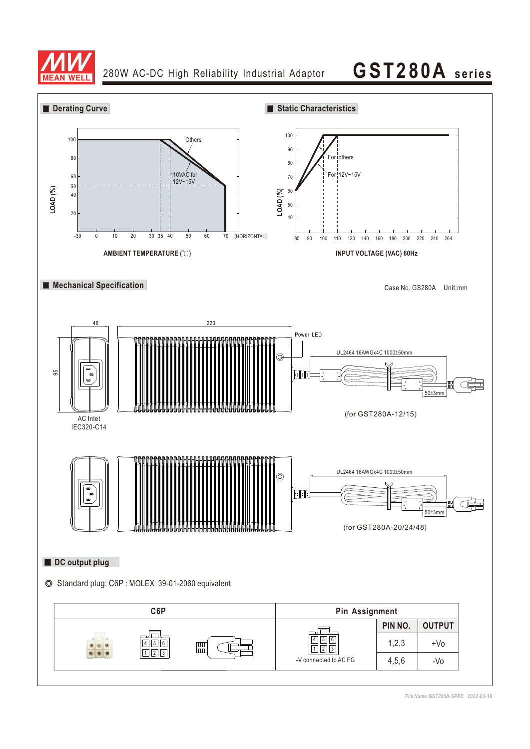

## **GST280A seri es**